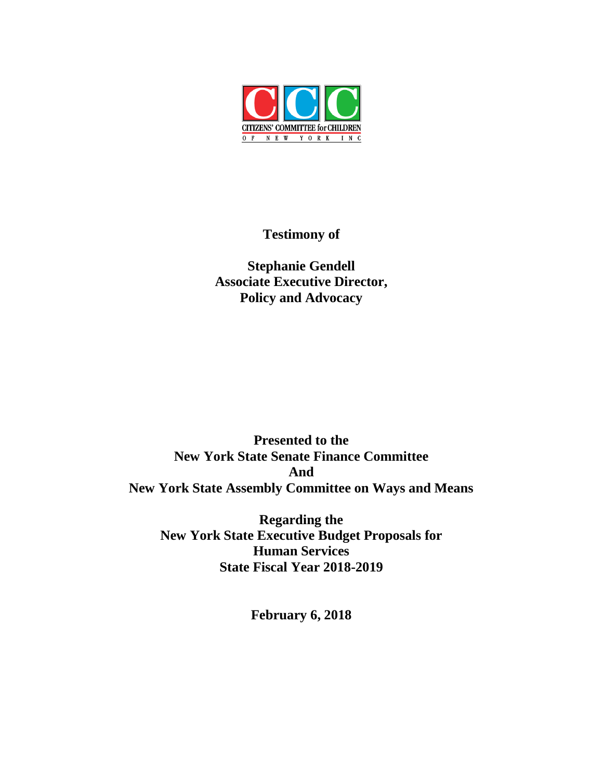

# **Testimony of**

**Stephanie Gendell Associate Executive Director, Policy and Advocacy**

**Presented to the New York State Senate Finance Committee And New York State Assembly Committee on Ways and Means**

**Regarding the New York State Executive Budget Proposals for Human Services State Fiscal Year 2018-2019**

**February 6, 2018**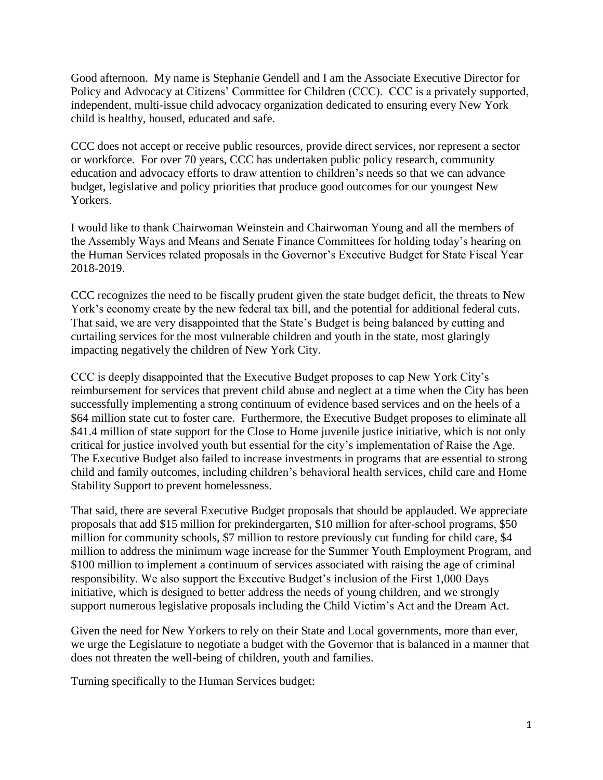Good afternoon. My name is Stephanie Gendell and I am the Associate Executive Director for Policy and Advocacy at Citizens' Committee for Children (CCC). CCC is a privately supported, independent, multi-issue child advocacy organization dedicated to ensuring every New York child is healthy, housed, educated and safe.

CCC does not accept or receive public resources, provide direct services, nor represent a sector or workforce. For over 70 years, CCC has undertaken public policy research, community education and advocacy efforts to draw attention to children's needs so that we can advance budget, legislative and policy priorities that produce good outcomes for our youngest New Yorkers.

I would like to thank Chairwoman Weinstein and Chairwoman Young and all the members of the Assembly Ways and Means and Senate Finance Committees for holding today's hearing on the Human Services related proposals in the Governor's Executive Budget for State Fiscal Year 2018-2019.

CCC recognizes the need to be fiscally prudent given the state budget deficit, the threats to New York's economy create by the new federal tax bill, and the potential for additional federal cuts. That said, we are very disappointed that the State's Budget is being balanced by cutting and curtailing services for the most vulnerable children and youth in the state, most glaringly impacting negatively the children of New York City.

CCC is deeply disappointed that the Executive Budget proposes to cap New York City's reimbursement for services that prevent child abuse and neglect at a time when the City has been successfully implementing a strong continuum of evidence based services and on the heels of a \$64 million state cut to foster care. Furthermore, the Executive Budget proposes to eliminate all \$41.4 million of state support for the Close to Home juvenile justice initiative, which is not only critical for justice involved youth but essential for the city's implementation of Raise the Age. The Executive Budget also failed to increase investments in programs that are essential to strong child and family outcomes, including children's behavioral health services, child care and Home Stability Support to prevent homelessness.

That said, there are several Executive Budget proposals that should be applauded. We appreciate proposals that add \$15 million for prekindergarten, \$10 million for after-school programs, \$50 million for community schools, \$7 million to restore previously cut funding for child care, \$4 million to address the minimum wage increase for the Summer Youth Employment Program, and \$100 million to implement a continuum of services associated with raising the age of criminal responsibility. We also support the Executive Budget's inclusion of the First 1,000 Days initiative, which is designed to better address the needs of young children, and we strongly support numerous legislative proposals including the Child Victim's Act and the Dream Act.

Given the need for New Yorkers to rely on their State and Local governments, more than ever, we urge the Legislature to negotiate a budget with the Governor that is balanced in a manner that does not threaten the well-being of children, youth and families.

Turning specifically to the Human Services budget: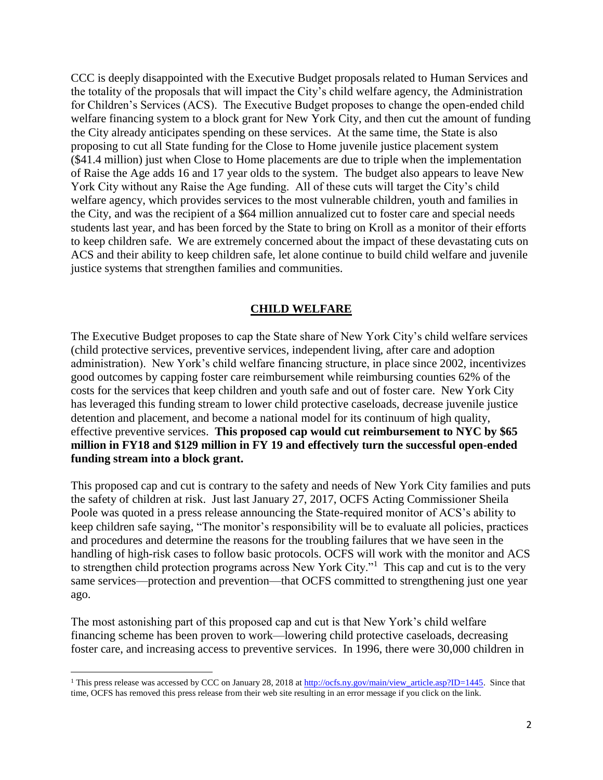CCC is deeply disappointed with the Executive Budget proposals related to Human Services and the totality of the proposals that will impact the City's child welfare agency, the Administration for Children's Services (ACS). The Executive Budget proposes to change the open-ended child welfare financing system to a block grant for New York City, and then cut the amount of funding the City already anticipates spending on these services. At the same time, the State is also proposing to cut all State funding for the Close to Home juvenile justice placement system (\$41.4 million) just when Close to Home placements are due to triple when the implementation of Raise the Age adds 16 and 17 year olds to the system. The budget also appears to leave New York City without any Raise the Age funding. All of these cuts will target the City's child welfare agency, which provides services to the most vulnerable children, youth and families in the City, and was the recipient of a \$64 million annualized cut to foster care and special needs students last year, and has been forced by the State to bring on Kroll as a monitor of their efforts to keep children safe. We are extremely concerned about the impact of these devastating cuts on ACS and their ability to keep children safe, let alone continue to build child welfare and juvenile justice systems that strengthen families and communities.

#### **CHILD WELFARE**

The Executive Budget proposes to cap the State share of New York City's child welfare services (child protective services, preventive services, independent living, after care and adoption administration). New York's child welfare financing structure, in place since 2002, incentivizes good outcomes by capping foster care reimbursement while reimbursing counties 62% of the costs for the services that keep children and youth safe and out of foster care. New York City has leveraged this funding stream to lower child protective caseloads, decrease juvenile justice detention and placement, and become a national model for its continuum of high quality, effective preventive services. **This proposed cap would cut reimbursement to NYC by \$65 million in FY18 and \$129 million in FY 19 and effectively turn the successful open-ended funding stream into a block grant.**

This proposed cap and cut is contrary to the safety and needs of New York City families and puts the safety of children at risk. Just last January 27, 2017, OCFS Acting Commissioner Sheila Poole was quoted in a press release announcing the State-required monitor of ACS's ability to keep children safe saying, "The monitor's responsibility will be to evaluate all policies, practices and procedures and determine the reasons for the troubling failures that we have seen in the handling of high-risk cases to follow basic protocols. OCFS will work with the monitor and ACS to strengthen child protection programs across New York City."<sup>1</sup> This cap and cut is to the very same services—protection and prevention—that OCFS committed to strengthening just one year ago.

The most astonishing part of this proposed cap and cut is that New York's child welfare financing scheme has been proven to work—lowering child protective caseloads, decreasing foster care, and increasing access to preventive services. In 1996, there were 30,000 children in

<sup>&</sup>lt;sup>1</sup> This press release was accessed by CCC on January 28, 2018 at [http://ocfs.ny.gov/main/view\\_article.asp?ID=1445.](http://ocfs.ny.gov/main/view_article.asp?ID=1445) Since that time, OCFS has removed this press release from their web site resulting in an error message if you click on the link.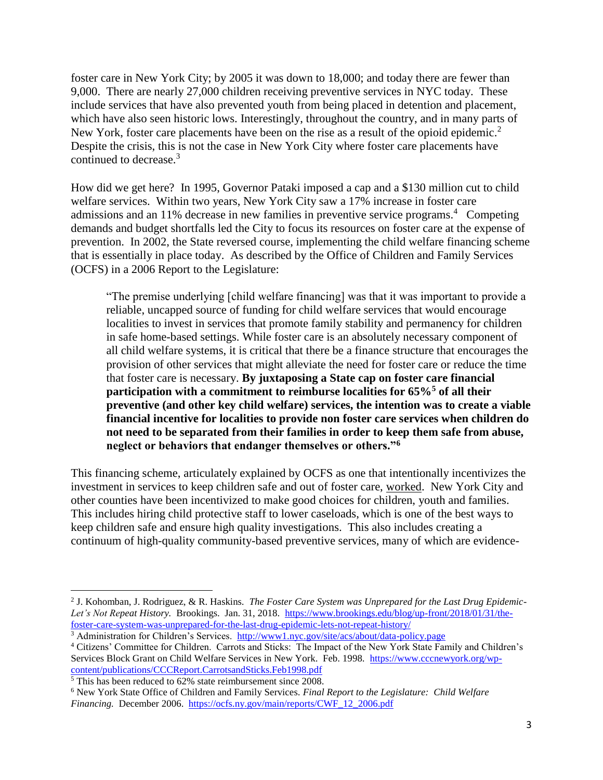foster care in New York City; by 2005 it was down to 18,000; and today there are fewer than 9,000. There are nearly 27,000 children receiving preventive services in NYC today. These include services that have also prevented youth from being placed in detention and placement, which have also seen historic lows. Interestingly, throughout the country, and in many parts of New York, foster care placements have been on the rise as a result of the opioid epidemic.<sup>2</sup> Despite the crisis, this is not the case in New York City where foster care placements have continued to decrease.<sup>3</sup>

How did we get here? In 1995, Governor Pataki imposed a cap and a \$130 million cut to child welfare services. Within two years, New York City saw a 17% increase in foster care admissions and an 11% decrease in new families in preventive service programs.<sup>4</sup> Competing demands and budget shortfalls led the City to focus its resources on foster care at the expense of prevention. In 2002, the State reversed course, implementing the child welfare financing scheme that is essentially in place today. As described by the Office of Children and Family Services (OCFS) in a 2006 Report to the Legislature:

"The premise underlying [child welfare financing] was that it was important to provide a reliable, uncapped source of funding for child welfare services that would encourage localities to invest in services that promote family stability and permanency for children in safe home-based settings. While foster care is an absolutely necessary component of all child welfare systems, it is critical that there be a finance structure that encourages the provision of other services that might alleviate the need for foster care or reduce the time that foster care is necessary. **By juxtaposing a State cap on foster care financial participation with a commitment to reimburse localities for 65%<sup>5</sup> of all their preventive (and other key child welfare) services, the intention was to create a viable financial incentive for localities to provide non foster care services when children do not need to be separated from their families in order to keep them safe from abuse, neglect or behaviors that endanger themselves or others."<sup>6</sup>**

This financing scheme, articulately explained by OCFS as one that intentionally incentivizes the investment in services to keep children safe and out of foster care, worked. New York City and other counties have been incentivized to make good choices for children, youth and families. This includes hiring child protective staff to lower caseloads, which is one of the best ways to keep children safe and ensure high quality investigations. This also includes creating a continuum of high-quality community-based preventive services, many of which are evidence-

<sup>2</sup> J. Kohomban, J. Rodriguez, & R. Haskins. *The Foster Care System was Unprepared for the Last Drug Epidemic-Let's Not Repeat History.* Brookings. Jan. 31, 2018. [https://www.brookings.edu/blog/up-front/2018/01/31/the](https://www.brookings.edu/blog/up-front/2018/01/31/the-foster-care-system-was-unprepared-for-the-last-drug-epidemic-lets-not-repeat-history/)[foster-care-system-was-unprepared-for-the-last-drug-epidemic-lets-not-repeat-history/](https://www.brookings.edu/blog/up-front/2018/01/31/the-foster-care-system-was-unprepared-for-the-last-drug-epidemic-lets-not-repeat-history/)

<sup>3</sup> Administration for Children's Services. <http://www1.nyc.gov/site/acs/about/data-policy.page>

<sup>4</sup> Citizens' Committee for Children. Carrots and Sticks: The Impact of the New York State Family and Children's Services Block Grant on Child Welfare Services in New York. Feb. 1998. [https://www.cccnewyork.org/wp](https://www.cccnewyork.org/wp-content/publications/CCCReport.CarrotsandSticks.Feb1998.pdf)[content/publications/CCCReport.CarrotsandSticks.Feb1998.pdf](https://www.cccnewyork.org/wp-content/publications/CCCReport.CarrotsandSticks.Feb1998.pdf)

 $\frac{5 \text{ This has been reduced to } 62\% \text{ state reinforcement since } 2008.$ 

<sup>6</sup> New York State Office of Children and Family Services. *Final Report to the Legislature: Child Welfare Financing.* December 2006. [https://ocfs.ny.gov/main/reports/CWF\\_12\\_2006.pdf](https://ocfs.ny.gov/main/reports/CWF_12_2006.pdf)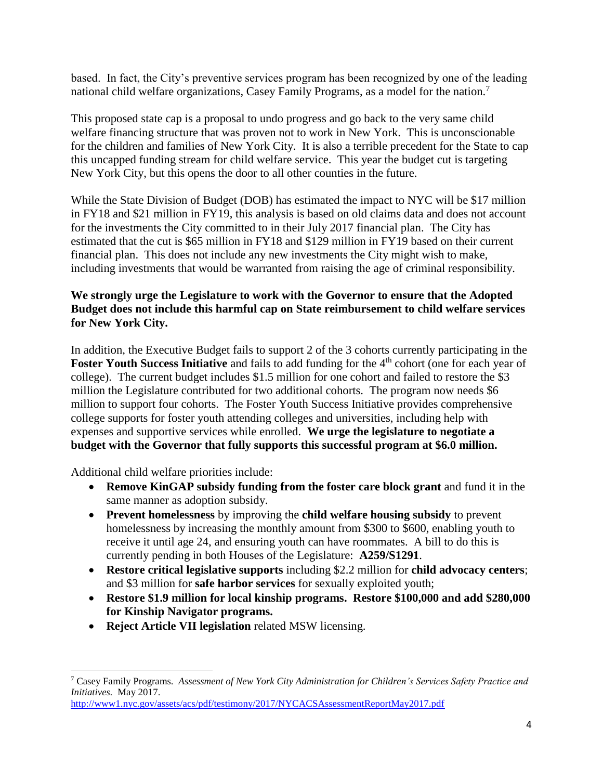based. In fact, the City's preventive services program has been recognized by one of the leading national child welfare organizations, Casey Family Programs, as a model for the nation.<sup>7</sup>

This proposed state cap is a proposal to undo progress and go back to the very same child welfare financing structure that was proven not to work in New York. This is unconscionable for the children and families of New York City. It is also a terrible precedent for the State to cap this uncapped funding stream for child welfare service. This year the budget cut is targeting New York City, but this opens the door to all other counties in the future.

While the State Division of Budget (DOB) has estimated the impact to NYC will be \$17 million in FY18 and \$21 million in FY19, this analysis is based on old claims data and does not account for the investments the City committed to in their July 2017 financial plan. The City has estimated that the cut is \$65 million in FY18 and \$129 million in FY19 based on their current financial plan. This does not include any new investments the City might wish to make, including investments that would be warranted from raising the age of criminal responsibility.

### **We strongly urge the Legislature to work with the Governor to ensure that the Adopted Budget does not include this harmful cap on State reimbursement to child welfare services for New York City.**

In addition, the Executive Budget fails to support 2 of the 3 cohorts currently participating in the **Foster Youth Success Initiative** and fails to add funding for the 4<sup>th</sup> cohort (one for each year of college). The current budget includes \$1.5 million for one cohort and failed to restore the \$3 million the Legislature contributed for two additional cohorts. The program now needs \$6 million to support four cohorts. The Foster Youth Success Initiative provides comprehensive college supports for foster youth attending colleges and universities, including help with expenses and supportive services while enrolled. **We urge the legislature to negotiate a budget with the Governor that fully supports this successful program at \$6.0 million.**

Additional child welfare priorities include:

- **Remove KinGAP subsidy funding from the foster care block grant** and fund it in the same manner as adoption subsidy.
- **Prevent homelessness** by improving the **child welfare housing subsidy** to prevent homelessness by increasing the monthly amount from \$300 to \$600, enabling youth to receive it until age 24, and ensuring youth can have roommates. A bill to do this is currently pending in both Houses of the Legislature: **A259/S1291**.
- **Restore critical legislative supports** including \$2.2 million for **child advocacy centers**; and \$3 million for **safe harbor services** for sexually exploited youth;
- **Restore \$1.9 million for local kinship programs. Restore \$100,000 and add \$280,000 for Kinship Navigator programs.**
- **Reject Article VII legislation** related MSW licensing.

<sup>7</sup> Casey Family Programs. *Assessment of New York City Administration for Children's Services Safety Practice and Initiatives.* May 2017.

<http://www1.nyc.gov/assets/acs/pdf/testimony/2017/NYCACSAssessmentReportMay2017.pdf>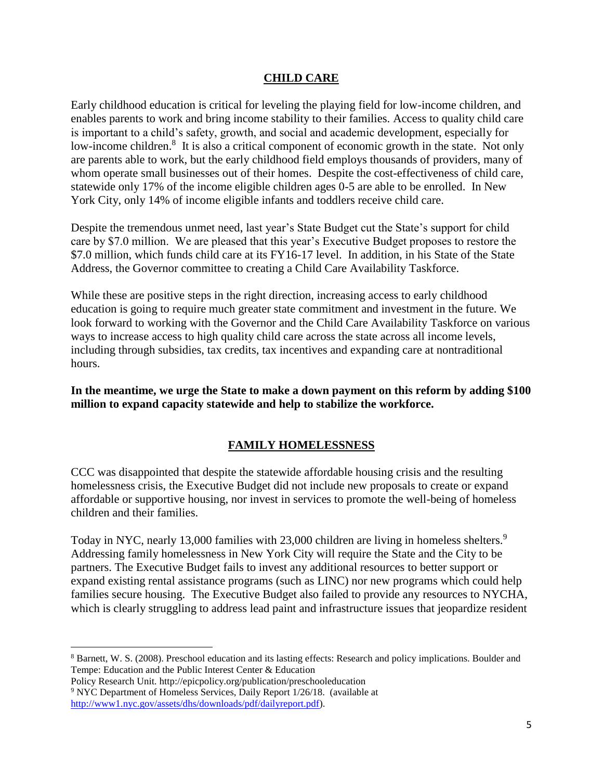#### **CHILD CARE**

Early childhood education is critical for leveling the playing field for low-income children, and enables parents to work and bring income stability to their families. Access to quality child care is important to a child's safety, growth, and social and academic development, especially for low-income children.<sup>8</sup> It is also a critical component of economic growth in the state. Not only are parents able to work, but the early childhood field employs thousands of providers, many of whom operate small businesses out of their homes. Despite the cost-effectiveness of child care, statewide only 17% of the income eligible children ages 0-5 are able to be enrolled. In New York City, only 14% of income eligible infants and toddlers receive child care.

Despite the tremendous unmet need, last year's State Budget cut the State's support for child care by \$7.0 million. We are pleased that this year's Executive Budget proposes to restore the \$7.0 million, which funds child care at its FY16-17 level. In addition, in his State of the State Address, the Governor committee to creating a Child Care Availability Taskforce.

While these are positive steps in the right direction, increasing access to early childhood education is going to require much greater state commitment and investment in the future. We look forward to working with the Governor and the Child Care Availability Taskforce on various ways to increase access to high quality child care across the state across all income levels, including through subsidies, tax credits, tax incentives and expanding care at nontraditional hours.

**In the meantime, we urge the State to make a down payment on this reform by adding \$100 million to expand capacity statewide and help to stabilize the workforce.**

### **FAMILY HOMELESSNESS**

CCC was disappointed that despite the statewide affordable housing crisis and the resulting homelessness crisis, the Executive Budget did not include new proposals to create or expand affordable or supportive housing, nor invest in services to promote the well-being of homeless children and their families.

Today in NYC, nearly 13,000 families with 23,000 children are living in homeless shelters.<sup>9</sup> Addressing family homelessness in New York City will require the State and the City to be partners. The Executive Budget fails to invest any additional resources to better support or expand existing rental assistance programs (such as LINC) nor new programs which could help families secure housing. The Executive Budget also failed to provide any resources to NYCHA, which is clearly struggling to address lead paint and infrastructure issues that jeopardize resident

l

<sup>8</sup> Barnett, W. S. (2008). Preschool education and its lasting effects: Research and policy implications. Boulder and Tempe: Education and the Public Interest Center & Education

Policy Research Unit. http://epicpolicy.org/publication/preschooleducation <sup>9</sup> NYC Department of Homeless Services, Daily Report 1/26/18. (available at [http://www1.nyc.gov/assets/dhs/downloads/pdf/dailyreport.pdf\)](http://www1.nyc.gov/assets/dhs/downloads/pdf/dailyreport.pdf).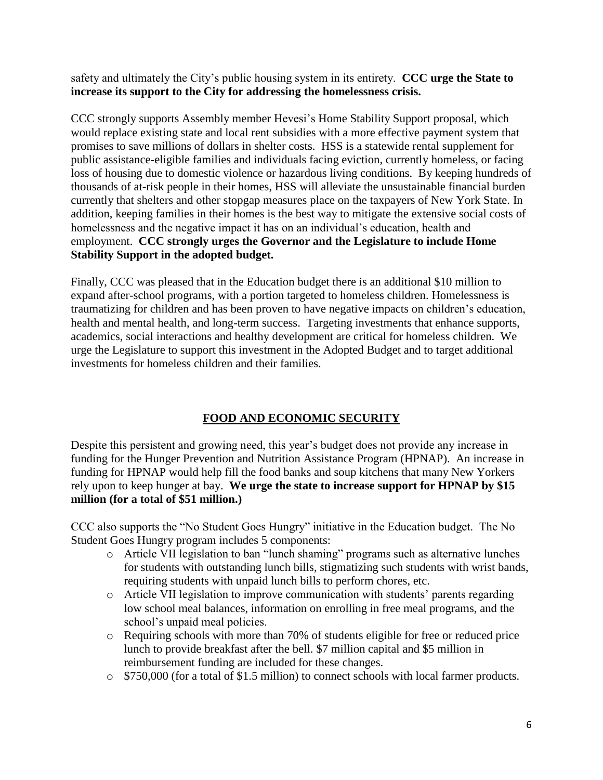safety and ultimately the City's public housing system in its entirety. **CCC urge the State to increase its support to the City for addressing the homelessness crisis.**

CCC strongly supports Assembly member Hevesi's Home Stability Support proposal, which would replace existing state and local rent subsidies with a more effective payment system that promises to save millions of dollars in shelter costs. HSS is a statewide rental supplement for public assistance-eligible families and individuals facing eviction, currently homeless, or facing loss of housing due to domestic violence or hazardous living conditions. By keeping hundreds of thousands of at-risk people in their homes, HSS will alleviate the unsustainable financial burden currently that shelters and other stopgap measures place on the taxpayers of New York State. In addition, keeping families in their homes is the best way to mitigate the extensive social costs of homelessness and the negative impact it has on an individual's education, health and employment. **CCC strongly urges the Governor and the Legislature to include Home Stability Support in the adopted budget.**

Finally, CCC was pleased that in the Education budget there is an additional \$10 million to expand after-school programs, with a portion targeted to homeless children. Homelessness is traumatizing for children and has been proven to have negative impacts on children's education, health and mental health, and long-term success. Targeting investments that enhance supports, academics, social interactions and healthy development are critical for homeless children. We urge the Legislature to support this investment in the Adopted Budget and to target additional investments for homeless children and their families.

## **FOOD AND ECONOMIC SECURITY**

Despite this persistent and growing need, this year's budget does not provide any increase in funding for the Hunger Prevention and Nutrition Assistance Program (HPNAP). An increase in funding for HPNAP would help fill the food banks and soup kitchens that many New Yorkers rely upon to keep hunger at bay. **We urge the state to increase support for HPNAP by \$15 million (for a total of \$51 million.)**

CCC also supports the "No Student Goes Hungry" initiative in the Education budget. The No Student Goes Hungry program includes 5 components:

- o Article VII legislation to ban "lunch shaming" programs such as alternative lunches for students with outstanding lunch bills, stigmatizing such students with wrist bands, requiring students with unpaid lunch bills to perform chores, etc.
- o Article VII legislation to improve communication with students' parents regarding low school meal balances, information on enrolling in free meal programs, and the school's unpaid meal policies.
- o Requiring schools with more than 70% of students eligible for free or reduced price lunch to provide breakfast after the bell. \$7 million capital and \$5 million in reimbursement funding are included for these changes.
- o \$750,000 (for a total of \$1.5 million) to connect schools with local farmer products.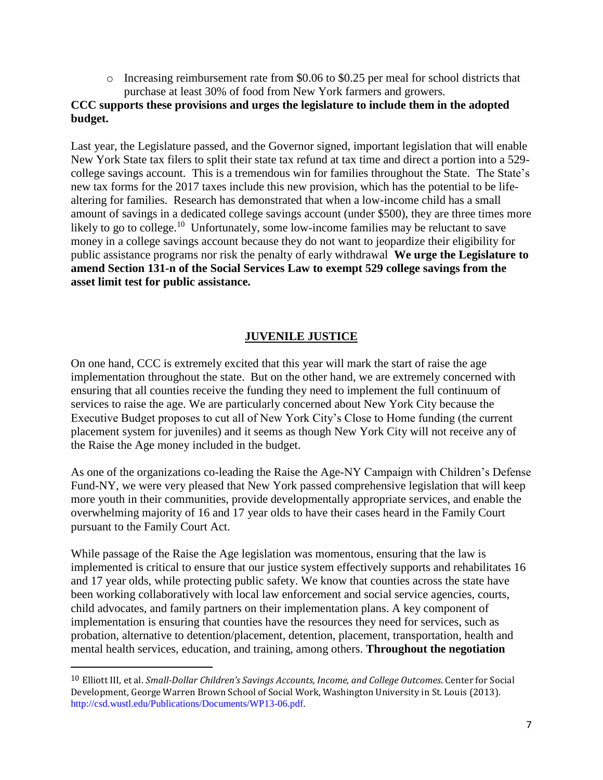$\circ$  Increasing reimbursement rate from \$0.06 to \$0.25 per meal for school districts that purchase at least 30% of food from New York farmers and growers.

### **CCC supports these provisions and urges the legislature to include them in the adopted budget.**

Last year, the Legislature passed, and the Governor signed, important legislation that will enable New York State tax filers to split their state tax refund at tax time and direct a portion into a 529 college savings account. This is a tremendous win for families throughout the State. The State's new tax forms for the 2017 taxes include this new provision, which has the potential to be lifealtering for families. Research has demonstrated that when a low-income child has a small amount of savings in a dedicated college savings account (under \$500), they are three times more likely to go to college.<sup>10</sup> Unfortunately, some low-income families may be reluctant to save money in a college savings account because they do not want to jeopardize their eligibility for public assistance programs nor risk the penalty of early withdrawal **We urge the Legislature to amend Section 131-n of the Social Services Law to exempt 529 college savings from the asset limit test for public assistance.**

### **JUVENILE JUSTICE**

On one hand, CCC is extremely excited that this year will mark the start of raise the age implementation throughout the state. But on the other hand, we are extremely concerned with ensuring that all counties receive the funding they need to implement the full continuum of services to raise the age. We are particularly concerned about New York City because the Executive Budget proposes to cut all of New York City's Close to Home funding (the current placement system for juveniles) and it seems as though New York City will not receive any of the Raise the Age money included in the budget.

As one of the organizations co-leading the Raise the Age-NY Campaign with Children's Defense Fund-NY, we were very pleased that New York passed comprehensive legislation that will keep more youth in their communities, provide developmentally appropriate services, and enable the overwhelming majority of 16 and 17 year olds to have their cases heard in the Family Court pursuant to the Family Court Act.

While passage of the Raise the Age legislation was momentous, ensuring that the law is implemented is critical to ensure that our justice system effectively supports and rehabilitates 16 and 17 year olds, while protecting public safety. We know that counties across the state have been working collaboratively with local law enforcement and social service agencies, courts, child advocates, and family partners on their implementation plans. A key component of implementation is ensuring that counties have the resources they need for services, such as probation, alternative to detention/placement, detention, placement, transportation, health and mental health services, education, and training, among others. **Throughout the negotiation** 

 $\overline{a}$ 

<sup>10</sup> Elliott III, et al. *Small-Dollar Children's Savings Accounts, Income, and College Outcomes*. Center for Social Development, George Warren Brown School of Social Work, Washington University in St. Louis (2013). http://csd.wustl.edu/Publications/Documents/WP13-06.pdf.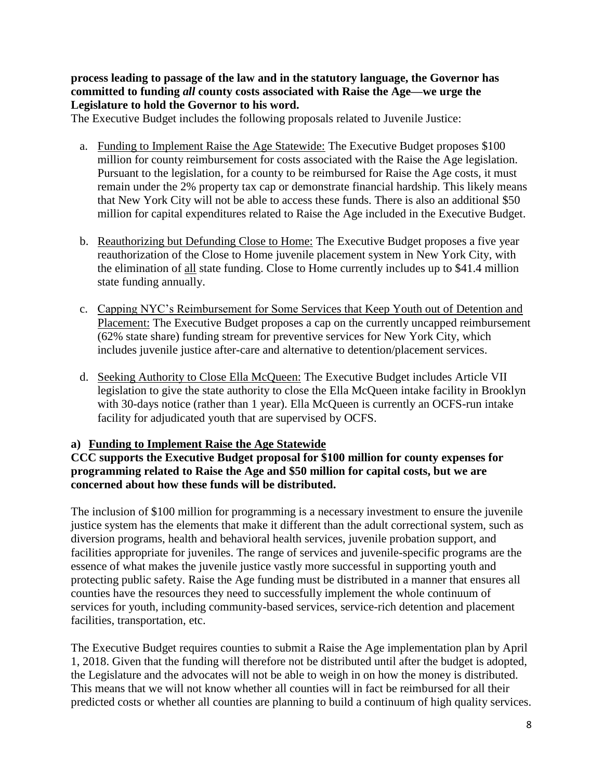**process leading to passage of the law and in the statutory language, the Governor has committed to funding** *all* **county costs associated with Raise the Age—we urge the Legislature to hold the Governor to his word.**

The Executive Budget includes the following proposals related to Juvenile Justice:

- a. Funding to Implement Raise the Age Statewide: The Executive Budget proposes \$100 million for county reimbursement for costs associated with the Raise the Age legislation. Pursuant to the legislation, for a county to be reimbursed for Raise the Age costs, it must remain under the 2% property tax cap or demonstrate financial hardship. This likely means that New York City will not be able to access these funds. There is also an additional \$50 million for capital expenditures related to Raise the Age included in the Executive Budget.
- b. Reauthorizing but Defunding Close to Home: The Executive Budget proposes a five year reauthorization of the Close to Home juvenile placement system in New York City, with the elimination of all state funding. Close to Home currently includes up to \$41.4 million state funding annually.
- c. Capping NYC's Reimbursement for Some Services that Keep Youth out of Detention and Placement: The Executive Budget proposes a cap on the currently uncapped reimbursement (62% state share) funding stream for preventive services for New York City, which includes juvenile justice after-care and alternative to detention/placement services.
- d. Seeking Authority to Close Ella McQueen: The Executive Budget includes Article VII legislation to give the state authority to close the Ella McQueen intake facility in Brooklyn with 30-days notice (rather than 1 year). Ella McQueen is currently an OCFS-run intake facility for adjudicated youth that are supervised by OCFS.

### **a) Funding to Implement Raise the Age Statewide**

#### **CCC supports the Executive Budget proposal for \$100 million for county expenses for programming related to Raise the Age and \$50 million for capital costs, but we are concerned about how these funds will be distributed.**

The inclusion of \$100 million for programming is a necessary investment to ensure the juvenile justice system has the elements that make it different than the adult correctional system, such as diversion programs, health and behavioral health services, juvenile probation support, and facilities appropriate for juveniles. The range of services and juvenile-specific programs are the essence of what makes the juvenile justice vastly more successful in supporting youth and protecting public safety. Raise the Age funding must be distributed in a manner that ensures all counties have the resources they need to successfully implement the whole continuum of services for youth, including community-based services, service-rich detention and placement facilities, transportation, etc.

The Executive Budget requires counties to submit a Raise the Age implementation plan by April 1, 2018. Given that the funding will therefore not be distributed until after the budget is adopted, the Legislature and the advocates will not be able to weigh in on how the money is distributed. This means that we will not know whether all counties will in fact be reimbursed for all their predicted costs or whether all counties are planning to build a continuum of high quality services.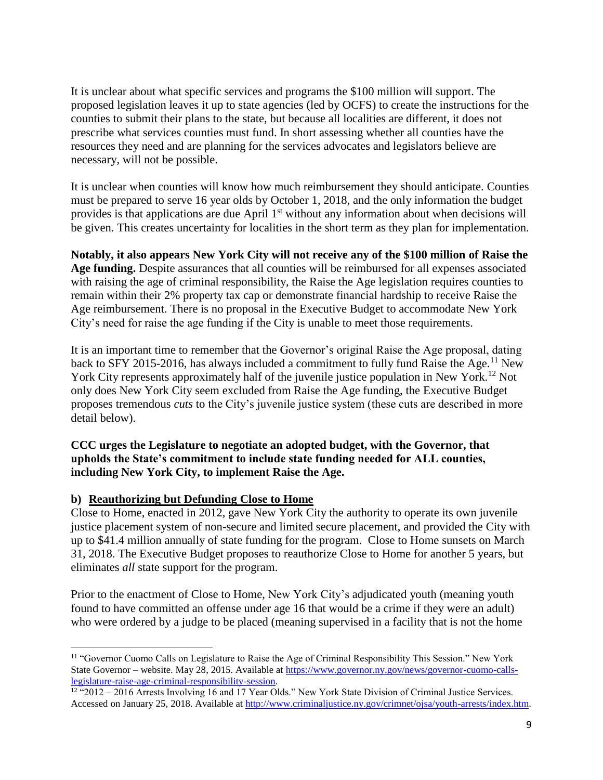It is unclear about what specific services and programs the \$100 million will support. The proposed legislation leaves it up to state agencies (led by OCFS) to create the instructions for the counties to submit their plans to the state, but because all localities are different, it does not prescribe what services counties must fund. In short assessing whether all counties have the resources they need and are planning for the services advocates and legislators believe are necessary, will not be possible.

It is unclear when counties will know how much reimbursement they should anticipate. Counties must be prepared to serve 16 year olds by October 1, 2018, and the only information the budget provides is that applications are due April 1<sup>st</sup> without any information about when decisions will be given. This creates uncertainty for localities in the short term as they plan for implementation.

**Notably, it also appears New York City will not receive any of the \$100 million of Raise the Age funding.** Despite assurances that all counties will be reimbursed for all expenses associated with raising the age of criminal responsibility, the Raise the Age legislation requires counties to remain within their 2% property tax cap or demonstrate financial hardship to receive Raise the Age reimbursement. There is no proposal in the Executive Budget to accommodate New York City's need for raise the age funding if the City is unable to meet those requirements.

It is an important time to remember that the Governor's original Raise the Age proposal, dating back to SFY 2015-2016, has always included a commitment to fully fund Raise the Age.<sup>11</sup> New York City represents approximately half of the juvenile justice population in New York.<sup>12</sup> Not only does New York City seem excluded from Raise the Age funding, the Executive Budget proposes tremendous *cuts* to the City's juvenile justice system (these cuts are described in more detail below).

#### **CCC urges the Legislature to negotiate an adopted budget, with the Governor, that upholds the State's commitment to include state funding needed for ALL counties, including New York City, to implement Raise the Age.**

### **b) Reauthorizing but Defunding Close to Home**

l

Close to Home, enacted in 2012, gave New York City the authority to operate its own juvenile justice placement system of non-secure and limited secure placement, and provided the City with up to \$41.4 million annually of state funding for the program. Close to Home sunsets on March 31, 2018. The Executive Budget proposes to reauthorize Close to Home for another 5 years, but eliminates *all* state support for the program.

Prior to the enactment of Close to Home, New York City's adjudicated youth (meaning youth found to have committed an offense under age 16 that would be a crime if they were an adult) who were ordered by a judge to be placed (meaning supervised in a facility that is not the home

<sup>&</sup>lt;sup>11</sup> "Governor Cuomo Calls on Legislature to Raise the Age of Criminal Responsibility This Session." New York State Governor – website. May 28, 2015. Available at [https://www.governor.ny.gov/news/governor-cuomo-calls](https://www.governor.ny.gov/news/governor-cuomo-calls-legislature-raise-age-criminal-responsibility-session)[legislature-raise-age-criminal-responsibility-session.](https://www.governor.ny.gov/news/governor-cuomo-calls-legislature-raise-age-criminal-responsibility-session)

 $12$  "2012 – 2016 Arrests Involving 16 and 17 Year Olds." New York State Division of Criminal Justice Services. Accessed on January 25, 2018. Available at [http://www.criminaljustice.ny.gov/crimnet/ojsa/youth-arrests/index.htm.](http://www.criminaljustice.ny.gov/crimnet/ojsa/youth-arrests/index.htm)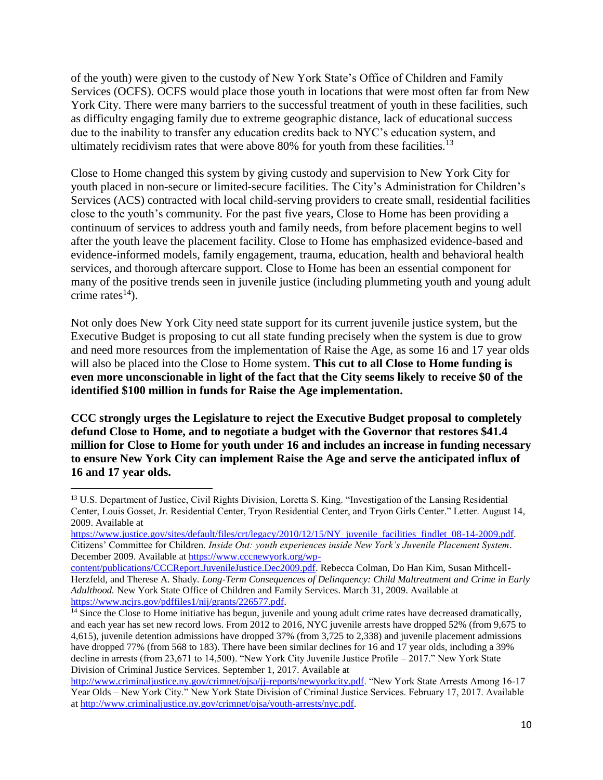of the youth) were given to the custody of New York State's Office of Children and Family Services (OCFS). OCFS would place those youth in locations that were most often far from New York City. There were many barriers to the successful treatment of youth in these facilities, such as difficulty engaging family due to extreme geographic distance, lack of educational success due to the inability to transfer any education credits back to NYC's education system, and ultimately recidivism rates that were above 80% for youth from these facilities.<sup>13</sup>

Close to Home changed this system by giving custody and supervision to New York City for youth placed in non-secure or limited-secure facilities. The City's Administration for Children's Services (ACS) contracted with local child-serving providers to create small, residential facilities close to the youth's community. For the past five years, Close to Home has been providing a continuum of services to address youth and family needs, from before placement begins to well after the youth leave the placement facility. Close to Home has emphasized evidence-based and evidence-informed models, family engagement, trauma, education, health and behavioral health services, and thorough aftercare support. Close to Home has been an essential component for many of the positive trends seen in juvenile justice (including plummeting youth and young adult crime rates $^{14}$ ).

Not only does New York City need state support for its current juvenile justice system, but the Executive Budget is proposing to cut all state funding precisely when the system is due to grow and need more resources from the implementation of Raise the Age, as some 16 and 17 year olds will also be placed into the Close to Home system. **This cut to all Close to Home funding is even more unconscionable in light of the fact that the City seems likely to receive \$0 of the identified \$100 million in funds for Raise the Age implementation.**

**CCC strongly urges the Legislature to reject the Executive Budget proposal to completely defund Close to Home, and to negotiate a budget with the Governor that restores \$41.4 million for Close to Home for youth under 16 and includes an increase in funding necessary to ensure New York City can implement Raise the Age and serve the anticipated influx of 16 and 17 year olds.**

 $\overline{\phantom{a}}$ <sup>13</sup> U.S. Department of Justice, Civil Rights Division, Loretta S. King. "Investigation of the Lansing Residential Center, Louis Gosset, Jr. Residential Center, Tryon Residential Center, and Tryon Girls Center." Letter. August 14, 2009. Available at

[https://www.justice.gov/sites/default/files/crt/legacy/2010/12/15/NY\\_juvenile\\_facilities\\_findlet\\_08-14-2009.pdf.](https://www.justice.gov/sites/default/files/crt/legacy/2010/12/15/NY_juvenile_facilities_findlet_08-14-2009.pdf) Citizens' Committee for Children. *Inside Out: youth experiences inside New York's Juvenile Placement System*. December 2009. Available a[t https://www.cccnewyork.org/wp-](https://www.cccnewyork.org/wp-content/publications/CCCReport.JuvenileJustice.Dec2009.pdf)

[content/publications/CCCReport.JuvenileJustice.Dec2009.pdf.](https://www.cccnewyork.org/wp-content/publications/CCCReport.JuvenileJustice.Dec2009.pdf) Rebecca Colman, Do Han Kim, Susan Mithcell-Herzfeld, and Therese A. Shady. *Long-Term Consequences of Delinquency: Child Maltreatment and Crime in Early Adulthood.* New York State Office of Children and Family Services. March 31, 2009. Available at [https://www.ncjrs.gov/pdffiles1/nij/grants/226577.pdf.](https://www.ncjrs.gov/pdffiles1/nij/grants/226577.pdf)

 $\frac{14}{14}$  Since the Close to Home initiative has begun, juvenile and young adult crime rates have decreased dramatically, and each year has set new record lows. From 2012 to 2016, NYC juvenile arrests have dropped 52% (from 9,675 to 4,615), juvenile detention admissions have dropped 37% (from 3,725 to 2,338) and juvenile placement admissions have dropped 77% (from 568 to 183). There have been similar declines for 16 and 17 year olds, including a 39% decline in arrests (from 23,671 to 14,500). "New York City Juvenile Justice Profile – 2017." New York State Division of Criminal Justice Services. September 1, 2017. Available at

[http://www.criminaljustice.ny.gov/crimnet/ojsa/jj-reports/newyorkcity.pdf.](http://www.criminaljustice.ny.gov/crimnet/ojsa/jj-reports/newyorkcity.pdf) "New York State Arrests Among 16-17 Year Olds – New York City." New York State Division of Criminal Justice Services. February 17, 2017. Available a[t http://www.criminaljustice.ny.gov/crimnet/ojsa/youth-arrests/nyc.pdf.](http://www.criminaljustice.ny.gov/crimnet/ojsa/youth-arrests/nyc.pdf)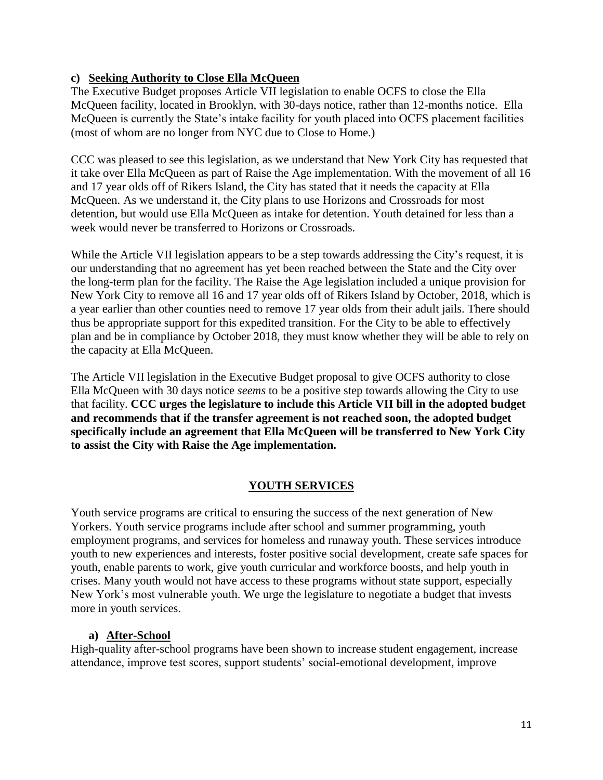### **c) Seeking Authority to Close Ella McQueen**

The Executive Budget proposes Article VII legislation to enable OCFS to close the Ella McQueen facility, located in Brooklyn, with 30-days notice, rather than 12-months notice. Ella McQueen is currently the State's intake facility for youth placed into OCFS placement facilities (most of whom are no longer from NYC due to Close to Home.)

CCC was pleased to see this legislation, as we understand that New York City has requested that it take over Ella McQueen as part of Raise the Age implementation. With the movement of all 16 and 17 year olds off of Rikers Island, the City has stated that it needs the capacity at Ella McQueen. As we understand it, the City plans to use Horizons and Crossroads for most detention, but would use Ella McQueen as intake for detention. Youth detained for less than a week would never be transferred to Horizons or Crossroads.

While the Article VII legislation appears to be a step towards addressing the City's request, it is our understanding that no agreement has yet been reached between the State and the City over the long-term plan for the facility. The Raise the Age legislation included a unique provision for New York City to remove all 16 and 17 year olds off of Rikers Island by October, 2018, which is a year earlier than other counties need to remove 17 year olds from their adult jails. There should thus be appropriate support for this expedited transition. For the City to be able to effectively plan and be in compliance by October 2018, they must know whether they will be able to rely on the capacity at Ella McQueen.

The Article VII legislation in the Executive Budget proposal to give OCFS authority to close Ella McQueen with 30 days notice *seems* to be a positive step towards allowing the City to use that facility. **CCC urges the legislature to include this Article VII bill in the adopted budget and recommends that if the transfer agreement is not reached soon, the adopted budget specifically include an agreement that Ella McQueen will be transferred to New York City to assist the City with Raise the Age implementation.**

## **YOUTH SERVICES**

Youth service programs are critical to ensuring the success of the next generation of New Yorkers. Youth service programs include after school and summer programming, youth employment programs, and services for homeless and runaway youth. These services introduce youth to new experiences and interests, foster positive social development, create safe spaces for youth, enable parents to work, give youth curricular and workforce boosts, and help youth in crises. Many youth would not have access to these programs without state support, especially New York's most vulnerable youth. We urge the legislature to negotiate a budget that invests more in youth services.

### **a) After-School**

High-quality after-school programs have been shown to increase student engagement, increase attendance, improve test scores, support students' social-emotional development, improve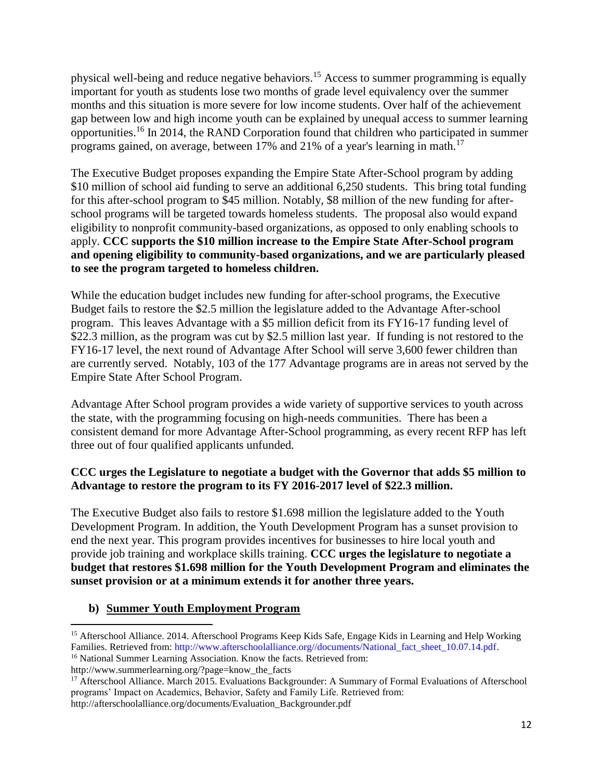physical well-being and reduce negative behaviors.<sup>15</sup> Access to summer programming is equally important for youth as students lose two months of grade level equivalency over the summer months and this situation is more severe for low income students. Over half of the achievement gap between low and high income youth can be explained by unequal access to summer learning opportunities.<sup>16</sup> In 2014, the RAND Corporation found that children who participated in summer programs gained, on average, between 17% and 21% of a year's learning in math.<sup>17</sup>

The Executive Budget proposes expanding the Empire State After-School program by adding \$10 million of school aid funding to serve an additional 6,250 students. This bring total funding for this after-school program to \$45 million. Notably, \$8 million of the new funding for afterschool programs will be targeted towards homeless students. The proposal also would expand eligibility to nonprofit community-based organizations, as opposed to only enabling schools to apply. **CCC supports the \$10 million increase to the Empire State After-School program and opening eligibility to community-based organizations, and we are particularly pleased to see the program targeted to homeless children.**

While the education budget includes new funding for after-school programs, the Executive Budget fails to restore the \$2.5 million the legislature added to the Advantage After-school program. This leaves Advantage with a \$5 million deficit from its FY16-17 funding level of \$22.3 million, as the program was cut by \$2.5 million last year. If funding is not restored to the FY16-17 level, the next round of Advantage After School will serve 3,600 fewer children than are currently served. Notably, 103 of the 177 Advantage programs are in areas not served by the Empire State After School Program.

Advantage After School program provides a wide variety of supportive services to youth across the state, with the programming focusing on high-needs communities. There has been a consistent demand for more Advantage After-School programming, as every recent RFP has left three out of four qualified applicants unfunded.

### **CCC urges the Legislature to negotiate a budget with the Governor that adds \$5 million to Advantage to restore the program to its FY 2016-2017 level of \$22.3 million.**

The Executive Budget also fails to restore \$1.698 million the legislature added to the Youth Development Program. In addition, the Youth Development Program has a sunset provision to end the next year. This program provides incentives for businesses to hire local youth and provide job training and workplace skills training. **CCC urges the legislature to negotiate a budget that restores \$1.698 million for the Youth Development Program and eliminates the sunset provision or at a minimum extends it for another three years.** 

### **b) Summer Youth Employment Program**

<sup>&</sup>lt;sup>15</sup> Afterschool Alliance. 2014. Afterschool Programs Keep Kids Safe, Engage Kids in Learning and Help Working Families. Retrieved from: http://www.afterschoolalliance.org//documents/National\_fact\_sheet\_10.07.14.pdf. <sup>16</sup> National Summer Learning Association. Know the facts. Retrieved from:

http://www.summerlearning.org/?page=know\_the\_facts

<sup>&</sup>lt;sup>17</sup> Afterschool Alliance. March 2015. Evaluations Backgrounder: A Summary of Formal Evaluations of Afterschool programs' Impact on Academics, Behavior, Safety and Family Life. Retrieved from: http://afterschoolalliance.org/documents/Evaluation\_Backgrounder.pdf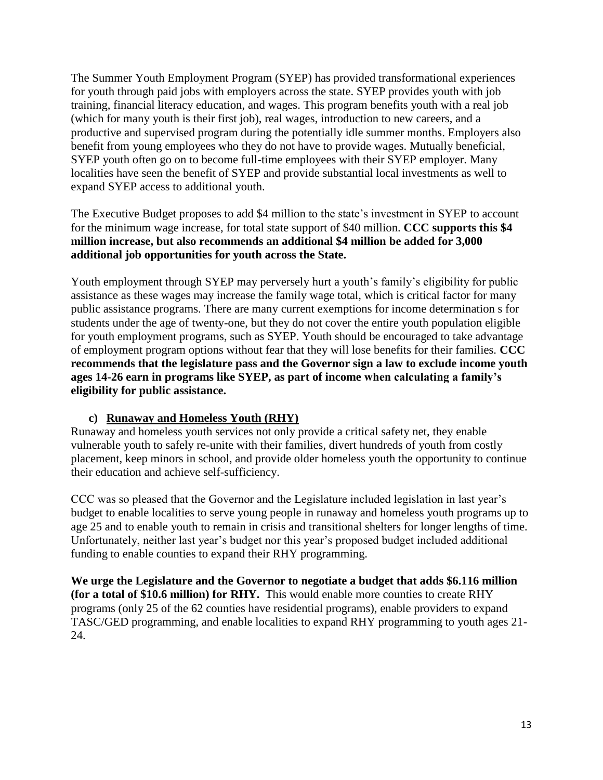The Summer Youth Employment Program (SYEP) has provided transformational experiences for youth through paid jobs with employers across the state. SYEP provides youth with job training, financial literacy education, and wages. This program benefits youth with a real job (which for many youth is their first job), real wages, introduction to new careers, and a productive and supervised program during the potentially idle summer months. Employers also benefit from young employees who they do not have to provide wages. Mutually beneficial, SYEP youth often go on to become full-time employees with their SYEP employer. Many localities have seen the benefit of SYEP and provide substantial local investments as well to expand SYEP access to additional youth.

The Executive Budget proposes to add \$4 million to the state's investment in SYEP to account for the minimum wage increase, for total state support of \$40 million. **CCC supports this \$4 million increase, but also recommends an additional \$4 million be added for 3,000 additional job opportunities for youth across the State.** 

Youth employment through SYEP may perversely hurt a youth's family's eligibility for public assistance as these wages may increase the family wage total, which is critical factor for many public assistance programs. There are many current exemptions for income determination s for students under the age of twenty-one, but they do not cover the entire youth population eligible for youth employment programs, such as SYEP. Youth should be encouraged to take advantage of employment program options without fear that they will lose benefits for their families. **CCC recommends that the legislature pass and the Governor sign a law to exclude income youth ages 14-26 earn in programs like SYEP, as part of income when calculating a family's eligibility for public assistance.**

### **c) Runaway and Homeless Youth (RHY)**

Runaway and homeless youth services not only provide a critical safety net, they enable vulnerable youth to safely re-unite with their families, divert hundreds of youth from costly placement, keep minors in school, and provide older homeless youth the opportunity to continue their education and achieve self-sufficiency.

CCC was so pleased that the Governor and the Legislature included legislation in last year's budget to enable localities to serve young people in runaway and homeless youth programs up to age 25 and to enable youth to remain in crisis and transitional shelters for longer lengths of time. Unfortunately, neither last year's budget nor this year's proposed budget included additional funding to enable counties to expand their RHY programming.

**We urge the Legislature and the Governor to negotiate a budget that adds \$6.116 million (for a total of \$10.6 million) for RHY.** This would enable more counties to create RHY programs (only 25 of the 62 counties have residential programs), enable providers to expand TASC/GED programming, and enable localities to expand RHY programming to youth ages 21- 24.